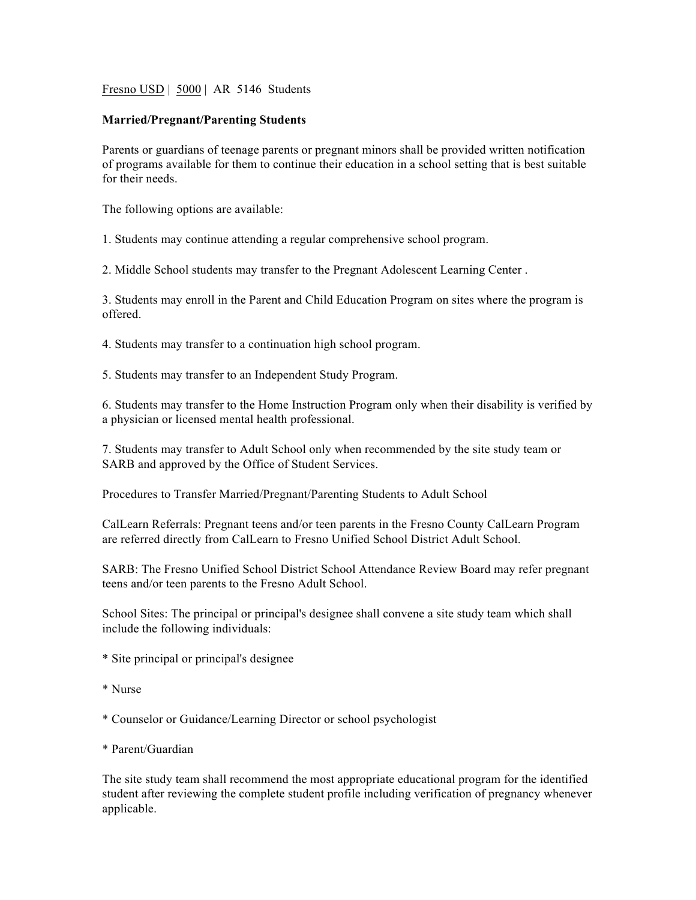Fresno USD | 5000 | AR 5146 Students

## **Married/Pregnant/Parenting Students**

Parents or guardians of teenage parents or pregnant minors shall be provided written notification of programs available for them to continue their education in a school setting that is best suitable for their needs.

The following options are available:

1. Students may continue attending a regular comprehensive school program.

2. Middle School students may transfer to the Pregnant Adolescent Learning Center .

3. Students may enroll in the Parent and Child Education Program on sites where the program is offered.

4. Students may transfer to a continuation high school program.

5. Students may transfer to an Independent Study Program.

6. Students may transfer to the Home Instruction Program only when their disability is verified by a physician or licensed mental health professional.

7. Students may transfer to Adult School only when recommended by the site study team or SARB and approved by the Office of Student Services.

Procedures to Transfer Married/Pregnant/Parenting Students to Adult School

CalLearn Referrals: Pregnant teens and/or teen parents in the Fresno County CalLearn Program are referred directly from CalLearn to Fresno Unified School District Adult School.

SARB: The Fresno Unified School District School Attendance Review Board may refer pregnant teens and/or teen parents to the Fresno Adult School.

School Sites: The principal or principal's designee shall convene a site study team which shall include the following individuals:

- \* Site principal or principal's designee
- \* Nurse
- \* Counselor or Guidance/Learning Director or school psychologist
- \* Parent/Guardian

The site study team shall recommend the most appropriate educational program for the identified student after reviewing the complete student profile including verification of pregnancy whenever applicable.